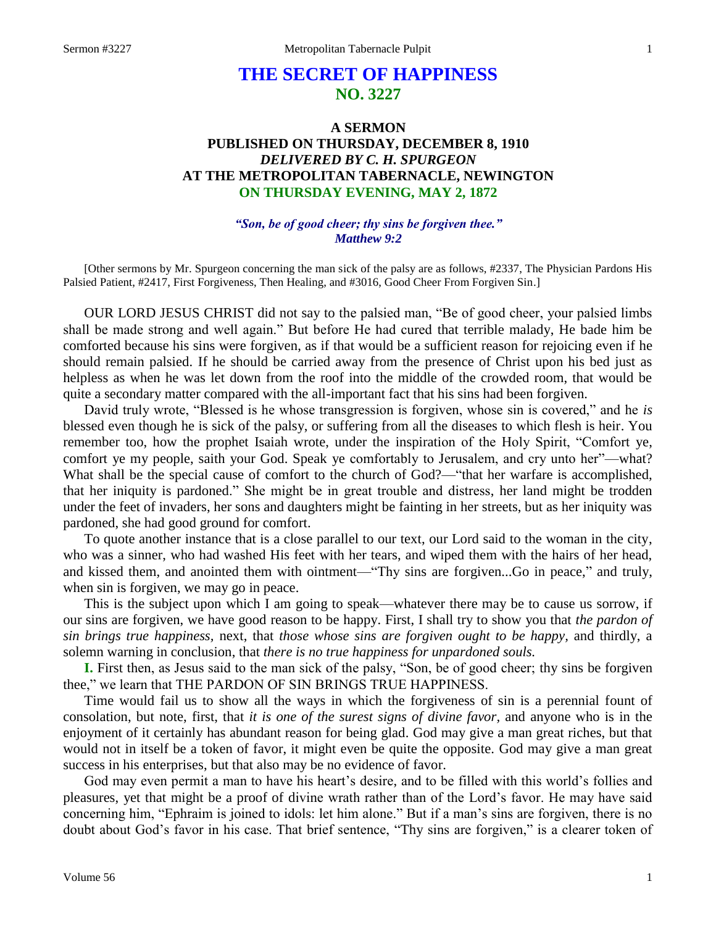# **THE SECRET OF HAPPINESS NO. 3227**

# **A SERMON PUBLISHED ON THURSDAY, DECEMBER 8, 1910** *DELIVERED BY C. H. SPURGEON* **AT THE METROPOLITAN TABERNACLE, NEWINGTON ON THURSDAY EVENING, MAY 2, 1872**

#### *"Son, be of good cheer; thy sins be forgiven thee." Matthew 9:2*

[Other sermons by Mr. Spurgeon concerning the man sick of the palsy are as follows, #2337, The Physician Pardons His Palsied Patient, #2417, First Forgiveness, Then Healing, and #3016, Good Cheer From Forgiven Sin.]

OUR LORD JESUS CHRIST did not say to the palsied man, "Be of good cheer, your palsied limbs shall be made strong and well again." But before He had cured that terrible malady, He bade him be comforted because his sins were forgiven, as if that would be a sufficient reason for rejoicing even if he should remain palsied. If he should be carried away from the presence of Christ upon his bed just as helpless as when he was let down from the roof into the middle of the crowded room, that would be quite a secondary matter compared with the all-important fact that his sins had been forgiven.

David truly wrote, "Blessed is he whose transgression is forgiven, whose sin is covered," and he *is* blessed even though he is sick of the palsy, or suffering from all the diseases to which flesh is heir. You remember too, how the prophet Isaiah wrote, under the inspiration of the Holy Spirit, "Comfort ye, comfort ye my people, saith your God. Speak ye comfortably to Jerusalem, and cry unto her"—what? What shall be the special cause of comfort to the church of God?—"that her warfare is accomplished, that her iniquity is pardoned." She might be in great trouble and distress, her land might be trodden under the feet of invaders, her sons and daughters might be fainting in her streets, but as her iniquity was pardoned, she had good ground for comfort.

To quote another instance that is a close parallel to our text, our Lord said to the woman in the city, who was a sinner, who had washed His feet with her tears, and wiped them with the hairs of her head, and kissed them, and anointed them with ointment—"Thy sins are forgiven...Go in peace," and truly, when sin is forgiven, we may go in peace.

This is the subject upon which I am going to speak—whatever there may be to cause us sorrow, if our sins are forgiven, we have good reason to be happy. First, I shall try to show you that *the pardon of sin brings true happiness,* next, that *those whose sins are forgiven ought to be happy,* and thirdly, a solemn warning in conclusion, that *there is no true happiness for unpardoned souls.* 

**I.** First then, as Jesus said to the man sick of the palsy, "Son, be of good cheer; thy sins be forgiven thee," we learn that THE PARDON OF SIN BRINGS TRUE HAPPINESS.

Time would fail us to show all the ways in which the forgiveness of sin is a perennial fount of consolation, but note, first, that *it is one of the surest signs of divine favor,* and anyone who is in the enjoyment of it certainly has abundant reason for being glad. God may give a man great riches, but that would not in itself be a token of favor, it might even be quite the opposite. God may give a man great success in his enterprises, but that also may be no evidence of favor.

God may even permit a man to have his heart's desire, and to be filled with this world's follies and pleasures, yet that might be a proof of divine wrath rather than of the Lord's favor. He may have said concerning him, "Ephraim is joined to idols: let him alone." But if a man's sins are forgiven, there is no doubt about God's favor in his case. That brief sentence, "Thy sins are forgiven," is a clearer token of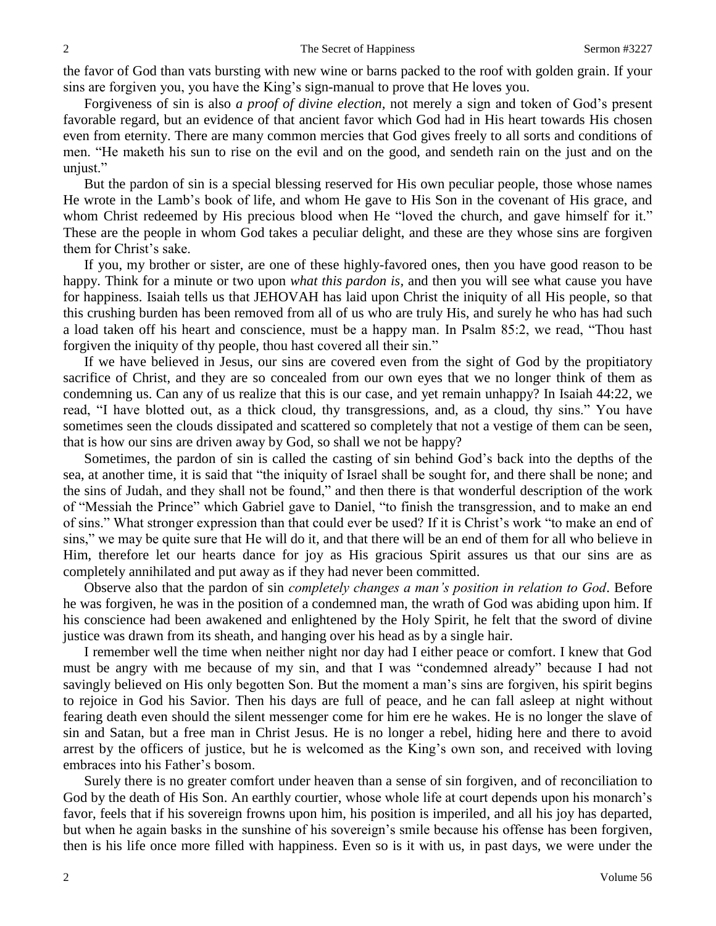the favor of God than vats bursting with new wine or barns packed to the roof with golden grain. If your sins are forgiven you, you have the King's sign-manual to prove that He loves you.

Forgiveness of sin is also *a proof of divine election,* not merely a sign and token of God's present favorable regard, but an evidence of that ancient favor which God had in His heart towards His chosen even from eternity. There are many common mercies that God gives freely to all sorts and conditions of men. "He maketh his sun to rise on the evil and on the good, and sendeth rain on the just and on the unjust."

But the pardon of sin is a special blessing reserved for His own peculiar people, those whose names He wrote in the Lamb's book of life, and whom He gave to His Son in the covenant of His grace, and whom Christ redeemed by His precious blood when He "loved the church, and gave himself for it." These are the people in whom God takes a peculiar delight, and these are they whose sins are forgiven them for Christ's sake.

If you, my brother or sister, are one of these highly-favored ones, then you have good reason to be happy. Think for a minute or two upon *what this pardon is,* and then you will see what cause you have for happiness. Isaiah tells us that JEHOVAH has laid upon Christ the iniquity of all His people, so that this crushing burden has been removed from all of us who are truly His, and surely he who has had such a load taken off his heart and conscience, must be a happy man. In Psalm 85:2, we read, "Thou hast forgiven the iniquity of thy people, thou hast covered all their sin."

If we have believed in Jesus, our sins are covered even from the sight of God by the propitiatory sacrifice of Christ, and they are so concealed from our own eyes that we no longer think of them as condemning us. Can any of us realize that this is our case, and yet remain unhappy? In Isaiah 44:22, we read, "I have blotted out, as a thick cloud, thy transgressions, and, as a cloud, thy sins." You have sometimes seen the clouds dissipated and scattered so completely that not a vestige of them can be seen, that is how our sins are driven away by God, so shall we not be happy?

Sometimes, the pardon of sin is called the casting of sin behind God's back into the depths of the sea, at another time, it is said that "the iniquity of Israel shall be sought for, and there shall be none; and the sins of Judah, and they shall not be found," and then there is that wonderful description of the work of "Messiah the Prince" which Gabriel gave to Daniel, "to finish the transgression, and to make an end of sins." What stronger expression than that could ever be used? If it is Christ's work "to make an end of sins," we may be quite sure that He will do it, and that there will be an end of them for all who believe in Him, therefore let our hearts dance for joy as His gracious Spirit assures us that our sins are as completely annihilated and put away as if they had never been committed.

Observe also that the pardon of sin *completely changes a man's position in relation to God*. Before he was forgiven, he was in the position of a condemned man, the wrath of God was abiding upon him. If his conscience had been awakened and enlightened by the Holy Spirit, he felt that the sword of divine justice was drawn from its sheath, and hanging over his head as by a single hair.

I remember well the time when neither night nor day had I either peace or comfort. I knew that God must be angry with me because of my sin, and that I was "condemned already" because I had not savingly believed on His only begotten Son. But the moment a man's sins are forgiven, his spirit begins to rejoice in God his Savior. Then his days are full of peace, and he can fall asleep at night without fearing death even should the silent messenger come for him ere he wakes. He is no longer the slave of sin and Satan, but a free man in Christ Jesus. He is no longer a rebel, hiding here and there to avoid arrest by the officers of justice, but he is welcomed as the King's own son, and received with loving embraces into his Father's bosom.

Surely there is no greater comfort under heaven than a sense of sin forgiven, and of reconciliation to God by the death of His Son. An earthly courtier, whose whole life at court depends upon his monarch's favor, feels that if his sovereign frowns upon him, his position is imperiled, and all his joy has departed, but when he again basks in the sunshine of his sovereign's smile because his offense has been forgiven, then is his life once more filled with happiness. Even so is it with us, in past days, we were under the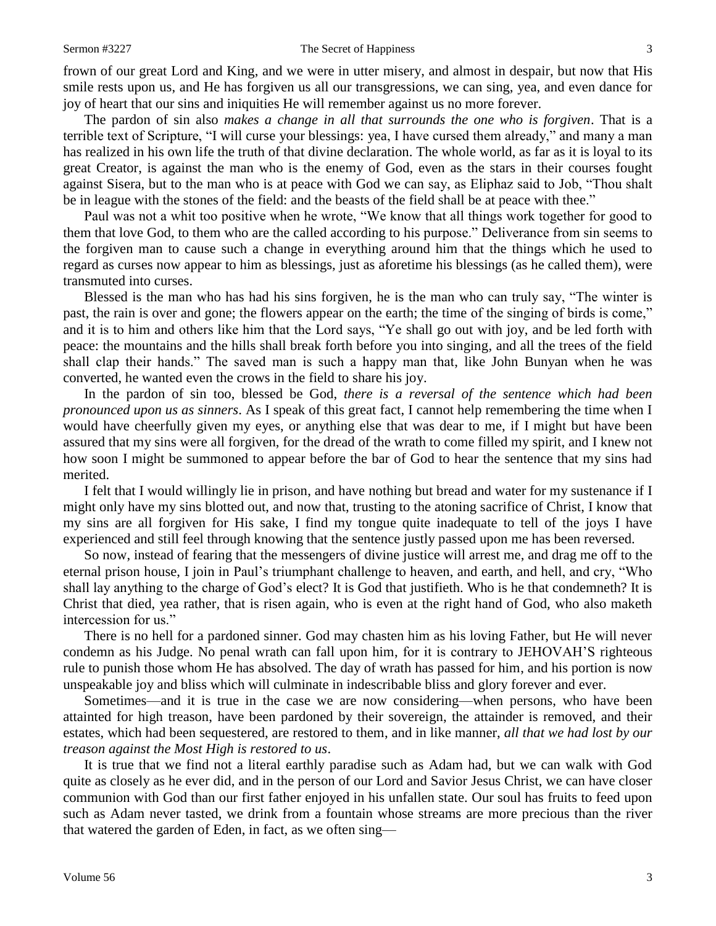#### Sermon #3227 The Secret of Happiness 3

frown of our great Lord and King, and we were in utter misery, and almost in despair, but now that His smile rests upon us, and He has forgiven us all our transgressions, we can sing, yea, and even dance for joy of heart that our sins and iniquities He will remember against us no more forever.

The pardon of sin also *makes a change in all that surrounds the one who is forgiven*. That is a terrible text of Scripture, "I will curse your blessings: yea, I have cursed them already," and many a man has realized in his own life the truth of that divine declaration. The whole world, as far as it is loyal to its great Creator, is against the man who is the enemy of God, even as the stars in their courses fought against Sisera, but to the man who is at peace with God we can say, as Eliphaz said to Job, "Thou shalt be in league with the stones of the field: and the beasts of the field shall be at peace with thee."

Paul was not a whit too positive when he wrote, "We know that all things work together for good to them that love God, to them who are the called according to his purpose." Deliverance from sin seems to the forgiven man to cause such a change in everything around him that the things which he used to regard as curses now appear to him as blessings, just as aforetime his blessings (as he called them), were transmuted into curses.

Blessed is the man who has had his sins forgiven, he is the man who can truly say, "The winter is past, the rain is over and gone; the flowers appear on the earth; the time of the singing of birds is come," and it is to him and others like him that the Lord says, "Ye shall go out with joy, and be led forth with peace: the mountains and the hills shall break forth before you into singing, and all the trees of the field shall clap their hands." The saved man is such a happy man that, like John Bunyan when he was converted, he wanted even the crows in the field to share his joy.

In the pardon of sin too, blessed be God, *there is a reversal of the sentence which had been pronounced upon us as sinners*. As I speak of this great fact, I cannot help remembering the time when I would have cheerfully given my eyes, or anything else that was dear to me, if I might but have been assured that my sins were all forgiven, for the dread of the wrath to come filled my spirit, and I knew not how soon I might be summoned to appear before the bar of God to hear the sentence that my sins had merited.

I felt that I would willingly lie in prison, and have nothing but bread and water for my sustenance if I might only have my sins blotted out, and now that, trusting to the atoning sacrifice of Christ, I know that my sins are all forgiven for His sake, I find my tongue quite inadequate to tell of the joys I have experienced and still feel through knowing that the sentence justly passed upon me has been reversed.

So now, instead of fearing that the messengers of divine justice will arrest me, and drag me off to the eternal prison house, I join in Paul's triumphant challenge to heaven, and earth, and hell, and cry, "Who shall lay anything to the charge of God's elect? It is God that justifieth. Who is he that condemneth? It is Christ that died, yea rather, that is risen again, who is even at the right hand of God, who also maketh intercession for us."

There is no hell for a pardoned sinner. God may chasten him as his loving Father, but He will never condemn as his Judge. No penal wrath can fall upon him, for it is contrary to JEHOVAH'S righteous rule to punish those whom He has absolved. The day of wrath has passed for him, and his portion is now unspeakable joy and bliss which will culminate in indescribable bliss and glory forever and ever.

Sometimes—and it is true in the case we are now considering—when persons, who have been attainted for high treason, have been pardoned by their sovereign, the attainder is removed, and their estates, which had been sequestered, are restored to them, and in like manner, *all that we had lost by our treason against the Most High is restored to us*.

It is true that we find not a literal earthly paradise such as Adam had, but we can walk with God quite as closely as he ever did, and in the person of our Lord and Savior Jesus Christ, we can have closer communion with God than our first father enjoyed in his unfallen state. Our soul has fruits to feed upon such as Adam never tasted, we drink from a fountain whose streams are more precious than the river that watered the garden of Eden, in fact, as we often sing—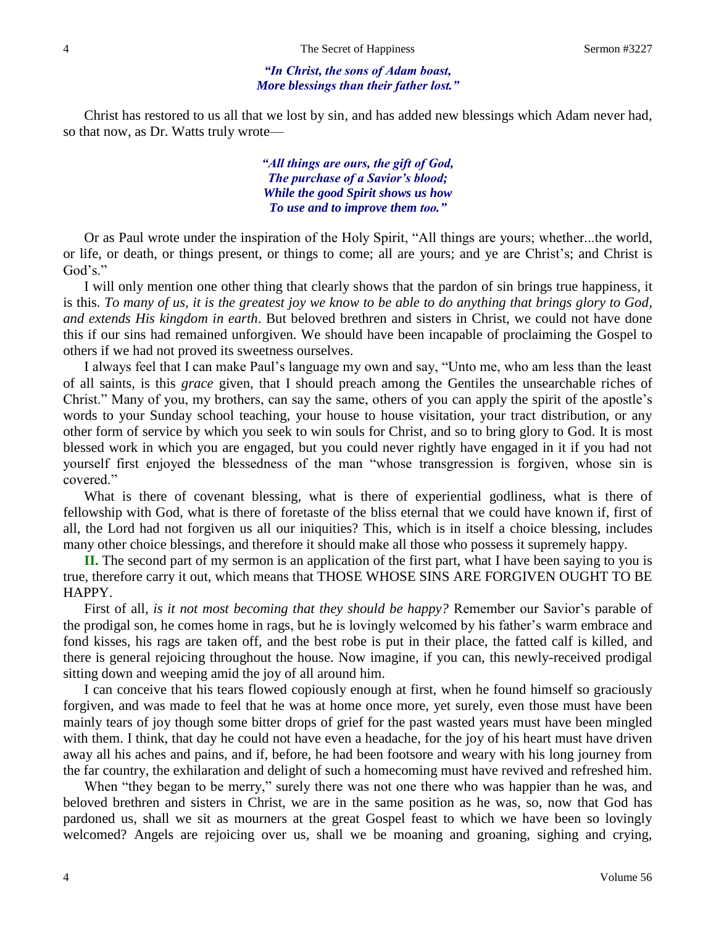#### *"In Christ, the sons of Adam boast, More blessings than their father lost."*

Christ has restored to us all that we lost by sin, and has added new blessings which Adam never had, so that now, as Dr. Watts truly wrote—

> *"All things are ours, the gift of God, The purchase of a Savior's blood; While the good Spirit shows us how To use and to improve them too."*

Or as Paul wrote under the inspiration of the Holy Spirit, "All things are yours; whether...the world, or life, or death, or things present, or things to come; all are yours; and ye are Christ's; and Christ is God's."

I will only mention one other thing that clearly shows that the pardon of sin brings true happiness, it is this. *To many of us, it is the greatest joy we know to be able to do anything that brings glory to God, and extends His kingdom in earth*. But beloved brethren and sisters in Christ, we could not have done this if our sins had remained unforgiven. We should have been incapable of proclaiming the Gospel to others if we had not proved its sweetness ourselves.

I always feel that I can make Paul's language my own and say, "Unto me, who am less than the least of all saints, is this *grace* given, that I should preach among the Gentiles the unsearchable riches of Christ." Many of you, my brothers, can say the same, others of you can apply the spirit of the apostle's words to your Sunday school teaching, your house to house visitation, your tract distribution, or any other form of service by which you seek to win souls for Christ, and so to bring glory to God. It is most blessed work in which you are engaged, but you could never rightly have engaged in it if you had not yourself first enjoyed the blessedness of the man "whose transgression is forgiven, whose sin is covered."

What is there of covenant blessing, what is there of experiential godliness, what is there of fellowship with God, what is there of foretaste of the bliss eternal that we could have known if, first of all, the Lord had not forgiven us all our iniquities? This, which is in itself a choice blessing, includes many other choice blessings, and therefore it should make all those who possess it supremely happy.

**II.** The second part of my sermon is an application of the first part, what I have been saying to you is true, therefore carry it out, which means that THOSE WHOSE SINS ARE FORGIVEN OUGHT TO BE HAPPY.

First of all, *is it not most becoming that they should be happy?* Remember our Savior's parable of the prodigal son, he comes home in rags, but he is lovingly welcomed by his father's warm embrace and fond kisses, his rags are taken off, and the best robe is put in their place, the fatted calf is killed, and there is general rejoicing throughout the house. Now imagine, if you can, this newly-received prodigal sitting down and weeping amid the joy of all around him.

I can conceive that his tears flowed copiously enough at first, when he found himself so graciously forgiven, and was made to feel that he was at home once more, yet surely, even those must have been mainly tears of joy though some bitter drops of grief for the past wasted years must have been mingled with them. I think, that day he could not have even a headache, for the joy of his heart must have driven away all his aches and pains, and if, before, he had been footsore and weary with his long journey from the far country, the exhilaration and delight of such a homecoming must have revived and refreshed him.

When "they began to be merry," surely there was not one there who was happier than he was, and beloved brethren and sisters in Christ, we are in the same position as he was, so, now that God has pardoned us, shall we sit as mourners at the great Gospel feast to which we have been so lovingly welcomed? Angels are rejoicing over us, shall we be moaning and groaning, sighing and crying,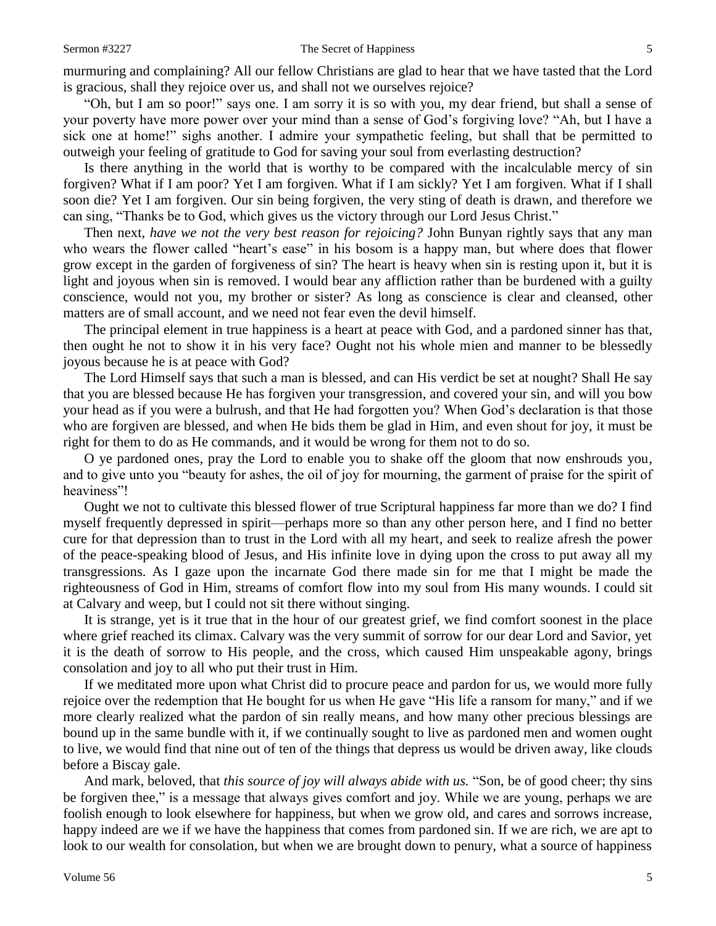"Oh, but I am so poor!" says one. I am sorry it is so with you, my dear friend, but shall a sense of your poverty have more power over your mind than a sense of God's forgiving love? "Ah, but I have a sick one at home!" sighs another. I admire your sympathetic feeling, but shall that be permitted to outweigh your feeling of gratitude to God for saving your soul from everlasting destruction?

Is there anything in the world that is worthy to be compared with the incalculable mercy of sin forgiven? What if I am poor? Yet I am forgiven. What if I am sickly? Yet I am forgiven. What if I shall soon die? Yet I am forgiven. Our sin being forgiven, the very sting of death is drawn, and therefore we can sing, "Thanks be to God, which gives us the victory through our Lord Jesus Christ."

Then next, *have we not the very best reason for rejoicing?* John Bunyan rightly says that any man who wears the flower called "heart's ease" in his bosom is a happy man, but where does that flower grow except in the garden of forgiveness of sin? The heart is heavy when sin is resting upon it, but it is light and joyous when sin is removed. I would bear any affliction rather than be burdened with a guilty conscience, would not you, my brother or sister? As long as conscience is clear and cleansed, other matters are of small account, and we need not fear even the devil himself.

The principal element in true happiness is a heart at peace with God, and a pardoned sinner has that, then ought he not to show it in his very face? Ought not his whole mien and manner to be blessedly joyous because he is at peace with God?

The Lord Himself says that such a man is blessed, and can His verdict be set at nought? Shall He say that you are blessed because He has forgiven your transgression, and covered your sin, and will you bow your head as if you were a bulrush, and that He had forgotten you? When God's declaration is that those who are forgiven are blessed, and when He bids them be glad in Him, and even shout for joy, it must be right for them to do as He commands, and it would be wrong for them not to do so.

O ye pardoned ones, pray the Lord to enable you to shake off the gloom that now enshrouds you, and to give unto you "beauty for ashes, the oil of joy for mourning, the garment of praise for the spirit of heaviness"!

Ought we not to cultivate this blessed flower of true Scriptural happiness far more than we do? I find myself frequently depressed in spirit—perhaps more so than any other person here, and I find no better cure for that depression than to trust in the Lord with all my heart, and seek to realize afresh the power of the peace-speaking blood of Jesus, and His infinite love in dying upon the cross to put away all my transgressions. As I gaze upon the incarnate God there made sin for me that I might be made the righteousness of God in Him, streams of comfort flow into my soul from His many wounds. I could sit at Calvary and weep, but I could not sit there without singing.

It is strange, yet is it true that in the hour of our greatest grief, we find comfort soonest in the place where grief reached its climax. Calvary was the very summit of sorrow for our dear Lord and Savior, yet it is the death of sorrow to His people, and the cross, which caused Him unspeakable agony, brings consolation and joy to all who put their trust in Him.

If we meditated more upon what Christ did to procure peace and pardon for us, we would more fully rejoice over the redemption that He bought for us when He gave "His life a ransom for many," and if we more clearly realized what the pardon of sin really means, and how many other precious blessings are bound up in the same bundle with it, if we continually sought to live as pardoned men and women ought to live, we would find that nine out of ten of the things that depress us would be driven away, like clouds before a Biscay gale.

And mark, beloved, that *this source of joy will always abide with us.* "Son, be of good cheer; thy sins be forgiven thee," is a message that always gives comfort and joy. While we are young, perhaps we are foolish enough to look elsewhere for happiness, but when we grow old, and cares and sorrows increase, happy indeed are we if we have the happiness that comes from pardoned sin. If we are rich, we are apt to look to our wealth for consolation, but when we are brought down to penury, what a source of happiness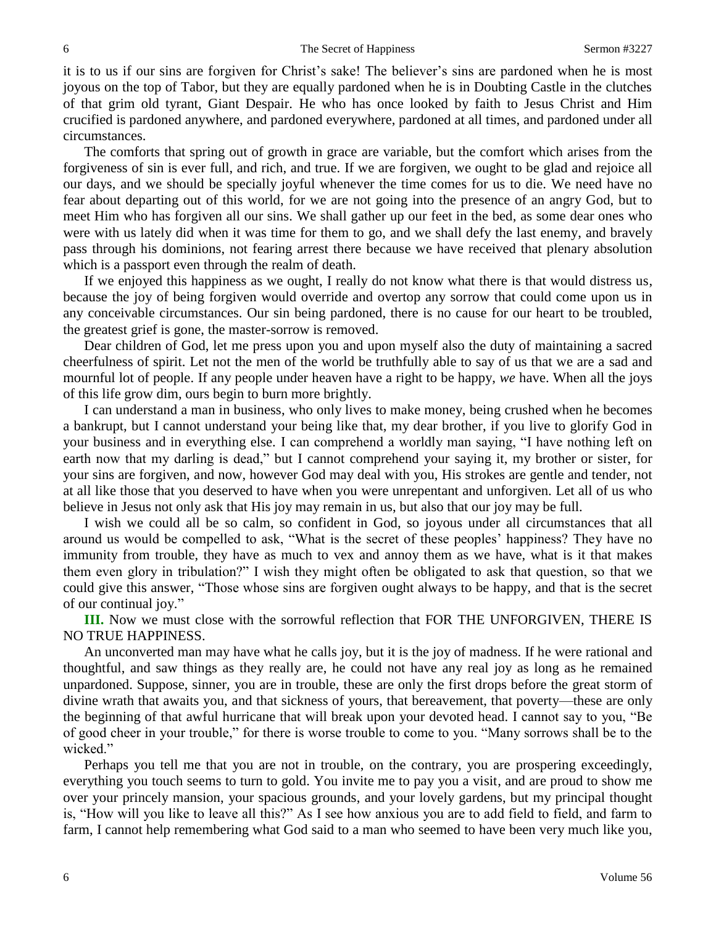it is to us if our sins are forgiven for Christ's sake! The believer's sins are pardoned when he is most joyous on the top of Tabor, but they are equally pardoned when he is in Doubting Castle in the clutches of that grim old tyrant, Giant Despair. He who has once looked by faith to Jesus Christ and Him crucified is pardoned anywhere, and pardoned everywhere, pardoned at all times, and pardoned under all circumstances.

The comforts that spring out of growth in grace are variable, but the comfort which arises from the forgiveness of sin is ever full, and rich, and true. If we are forgiven, we ought to be glad and rejoice all our days, and we should be specially joyful whenever the time comes for us to die. We need have no fear about departing out of this world, for we are not going into the presence of an angry God, but to meet Him who has forgiven all our sins. We shall gather up our feet in the bed, as some dear ones who were with us lately did when it was time for them to go, and we shall defy the last enemy, and bravely pass through his dominions, not fearing arrest there because we have received that plenary absolution which is a passport even through the realm of death.

If we enjoyed this happiness as we ought, I really do not know what there is that would distress us, because the joy of being forgiven would override and overtop any sorrow that could come upon us in any conceivable circumstances. Our sin being pardoned, there is no cause for our heart to be troubled, the greatest grief is gone, the master-sorrow is removed.

Dear children of God, let me press upon you and upon myself also the duty of maintaining a sacred cheerfulness of spirit. Let not the men of the world be truthfully able to say of us that we are a sad and mournful lot of people. If any people under heaven have a right to be happy, *we* have. When all the joys of this life grow dim, ours begin to burn more brightly.

I can understand a man in business, who only lives to make money, being crushed when he becomes a bankrupt, but I cannot understand your being like that, my dear brother, if you live to glorify God in your business and in everything else. I can comprehend a worldly man saying, "I have nothing left on earth now that my darling is dead," but I cannot comprehend your saying it, my brother or sister, for your sins are forgiven, and now, however God may deal with you, His strokes are gentle and tender, not at all like those that you deserved to have when you were unrepentant and unforgiven. Let all of us who believe in Jesus not only ask that His joy may remain in us, but also that our joy may be full.

I wish we could all be so calm, so confident in God, so joyous under all circumstances that all around us would be compelled to ask, "What is the secret of these peoples' happiness? They have no immunity from trouble, they have as much to vex and annoy them as we have, what is it that makes them even glory in tribulation?" I wish they might often be obligated to ask that question, so that we could give this answer, "Those whose sins are forgiven ought always to be happy, and that is the secret of our continual joy."

**III.** Now we must close with the sorrowful reflection that FOR THE UNFORGIVEN, THERE IS NO TRUE HAPPINESS.

An unconverted man may have what he calls joy, but it is the joy of madness. If he were rational and thoughtful, and saw things as they really are, he could not have any real joy as long as he remained unpardoned. Suppose, sinner, you are in trouble, these are only the first drops before the great storm of divine wrath that awaits you, and that sickness of yours, that bereavement, that poverty—these are only the beginning of that awful hurricane that will break upon your devoted head. I cannot say to you, "Be of good cheer in your trouble," for there is worse trouble to come to you. "Many sorrows shall be to the wicked."

Perhaps you tell me that you are not in trouble, on the contrary, you are prospering exceedingly, everything you touch seems to turn to gold. You invite me to pay you a visit, and are proud to show me over your princely mansion, your spacious grounds, and your lovely gardens, but my principal thought is, "How will you like to leave all this?" As I see how anxious you are to add field to field, and farm to farm, I cannot help remembering what God said to a man who seemed to have been very much like you,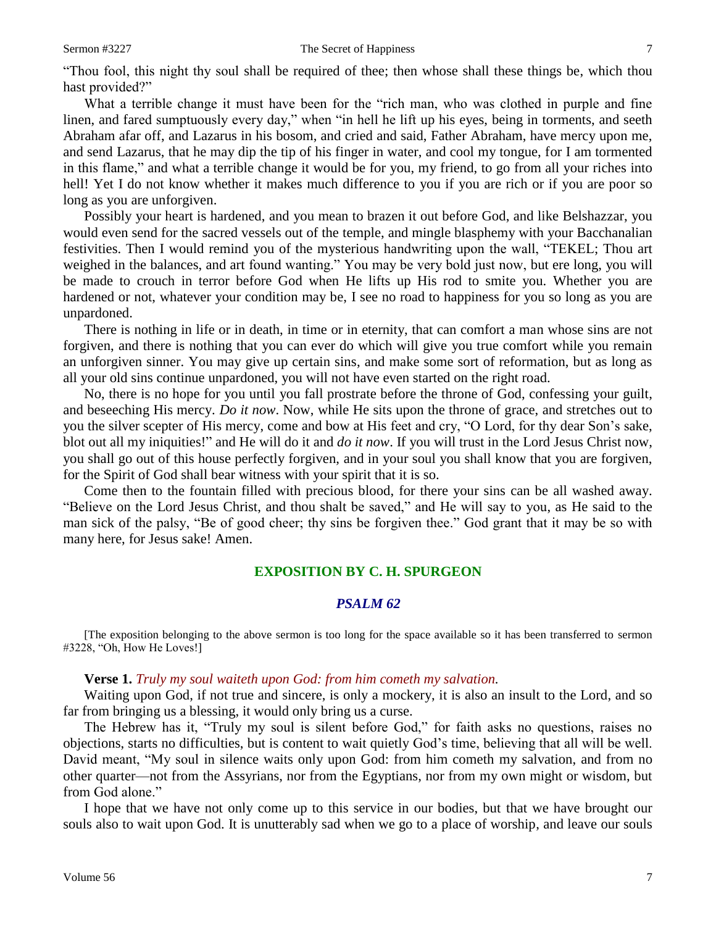"Thou fool, this night thy soul shall be required of thee; then whose shall these things be, which thou hast provided?"

What a terrible change it must have been for the "rich man, who was clothed in purple and fine linen, and fared sumptuously every day," when "in hell he lift up his eyes, being in torments, and seeth Abraham afar off, and Lazarus in his bosom, and cried and said, Father Abraham, have mercy upon me, and send Lazarus, that he may dip the tip of his finger in water, and cool my tongue, for I am tormented in this flame," and what a terrible change it would be for you, my friend, to go from all your riches into hell! Yet I do not know whether it makes much difference to you if you are rich or if you are poor so long as you are unforgiven.

Possibly your heart is hardened, and you mean to brazen it out before God, and like Belshazzar, you would even send for the sacred vessels out of the temple, and mingle blasphemy with your Bacchanalian festivities. Then I would remind you of the mysterious handwriting upon the wall, "TEKEL; Thou art weighed in the balances, and art found wanting." You may be very bold just now, but ere long, you will be made to crouch in terror before God when He lifts up His rod to smite you. Whether you are hardened or not, whatever your condition may be, I see no road to happiness for you so long as you are unpardoned.

There is nothing in life or in death, in time or in eternity, that can comfort a man whose sins are not forgiven, and there is nothing that you can ever do which will give you true comfort while you remain an unforgiven sinner. You may give up certain sins, and make some sort of reformation, but as long as all your old sins continue unpardoned, you will not have even started on the right road.

No, there is no hope for you until you fall prostrate before the throne of God, confessing your guilt, and beseeching His mercy. *Do it now*. Now, while He sits upon the throne of grace, and stretches out to you the silver scepter of His mercy, come and bow at His feet and cry, "O Lord, for thy dear Son's sake, blot out all my iniquities!" and He will do it and *do it now*. If you will trust in the Lord Jesus Christ now, you shall go out of this house perfectly forgiven, and in your soul you shall know that you are forgiven, for the Spirit of God shall bear witness with your spirit that it is so.

Come then to the fountain filled with precious blood, for there your sins can be all washed away. "Believe on the Lord Jesus Christ, and thou shalt be saved," and He will say to you, as He said to the man sick of the palsy, "Be of good cheer; thy sins be forgiven thee." God grant that it may be so with many here, for Jesus sake! Amen.

### **EXPOSITION BY C. H. SPURGEON**

### *PSALM 62*

[The exposition belonging to the above sermon is too long for the space available so it has been transferred to sermon #3228, "Oh, How He Loves!]

#### **Verse 1.** *Truly my soul waiteth upon God: from him cometh my salvation.*

Waiting upon God, if not true and sincere, is only a mockery, it is also an insult to the Lord, and so far from bringing us a blessing, it would only bring us a curse.

The Hebrew has it, "Truly my soul is silent before God," for faith asks no questions, raises no objections, starts no difficulties, but is content to wait quietly God's time, believing that all will be well. David meant, "My soul in silence waits only upon God: from him cometh my salvation, and from no other quarter—not from the Assyrians, nor from the Egyptians, nor from my own might or wisdom, but from God alone."

I hope that we have not only come up to this service in our bodies, but that we have brought our souls also to wait upon God. It is unutterably sad when we go to a place of worship, and leave our souls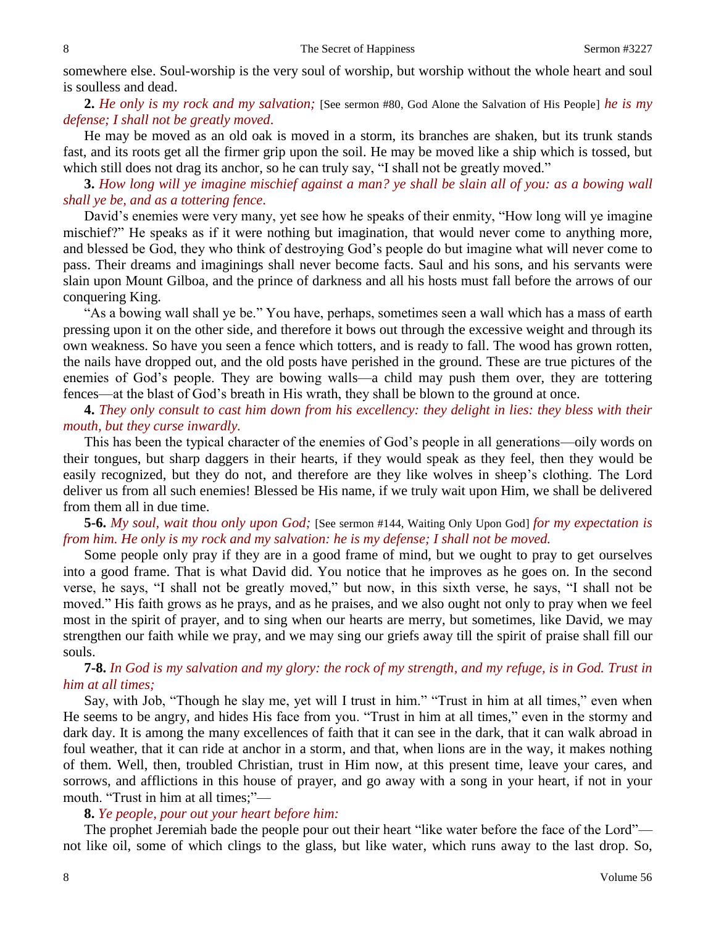somewhere else. Soul-worship is the very soul of worship, but worship without the whole heart and soul is soulless and dead.

**2.** *He only is my rock and my salvation;* [See sermon #80, God Alone the Salvation of His People] *he is my defense; I shall not be greatly moved*.

He may be moved as an old oak is moved in a storm, its branches are shaken, but its trunk stands fast, and its roots get all the firmer grip upon the soil. He may be moved like a ship which is tossed, but which still does not drag its anchor, so he can truly say, "I shall not be greatly moved."

**3.** *How long will ye imagine mischief against a man? ye shall be slain all of you: as a bowing wall shall ye be, and as a tottering fence*.

David's enemies were very many, yet see how he speaks of their enmity, "How long will ye imagine mischief?" He speaks as if it were nothing but imagination, that would never come to anything more, and blessed be God, they who think of destroying God's people do but imagine what will never come to pass. Their dreams and imaginings shall never become facts. Saul and his sons, and his servants were slain upon Mount Gilboa, and the prince of darkness and all his hosts must fall before the arrows of our conquering King.

"As a bowing wall shall ye be." You have, perhaps, sometimes seen a wall which has a mass of earth pressing upon it on the other side, and therefore it bows out through the excessive weight and through its own weakness. So have you seen a fence which totters, and is ready to fall. The wood has grown rotten, the nails have dropped out, and the old posts have perished in the ground. These are true pictures of the enemies of God's people. They are bowing walls—a child may push them over, they are tottering fences—at the blast of God's breath in His wrath, they shall be blown to the ground at once.

**4.** *They only consult to cast him down from his excellency: they delight in lies: they bless with their mouth, but they curse inwardly.*

This has been the typical character of the enemies of God's people in all generations—oily words on their tongues, but sharp daggers in their hearts, if they would speak as they feel, then they would be easily recognized, but they do not, and therefore are they like wolves in sheep's clothing. The Lord deliver us from all such enemies! Blessed be His name, if we truly wait upon Him, we shall be delivered from them all in due time.

**5-6.** *My soul, wait thou only upon God;* [See sermon #144, Waiting Only Upon God] *for my expectation is from him. He only is my rock and my salvation: he is my defense; I shall not be moved.* 

Some people only pray if they are in a good frame of mind, but we ought to pray to get ourselves into a good frame. That is what David did. You notice that he improves as he goes on. In the second verse, he says, "I shall not be greatly moved," but now, in this sixth verse, he says, "I shall not be moved." His faith grows as he prays, and as he praises, and we also ought not only to pray when we feel most in the spirit of prayer, and to sing when our hearts are merry, but sometimes, like David, we may strengthen our faith while we pray, and we may sing our griefs away till the spirit of praise shall fill our souls.

# **7-8.** *In God is my salvation and my glory: the rock of my strength, and my refuge, is in God. Trust in him at all times;*

Say, with Job, "Though he slay me, yet will I trust in him." "Trust in him at all times," even when He seems to be angry, and hides His face from you. "Trust in him at all times," even in the stormy and dark day. It is among the many excellences of faith that it can see in the dark, that it can walk abroad in foul weather, that it can ride at anchor in a storm, and that, when lions are in the way, it makes nothing of them. Well, then, troubled Christian, trust in Him now, at this present time, leave your cares, and sorrows, and afflictions in this house of prayer, and go away with a song in your heart, if not in your mouth. "Trust in him at all times;"—

### **8.** *Ye people, pour out your heart before him:*

The prophet Jeremiah bade the people pour out their heart "like water before the face of the Lord" not like oil, some of which clings to the glass, but like water, which runs away to the last drop. So,